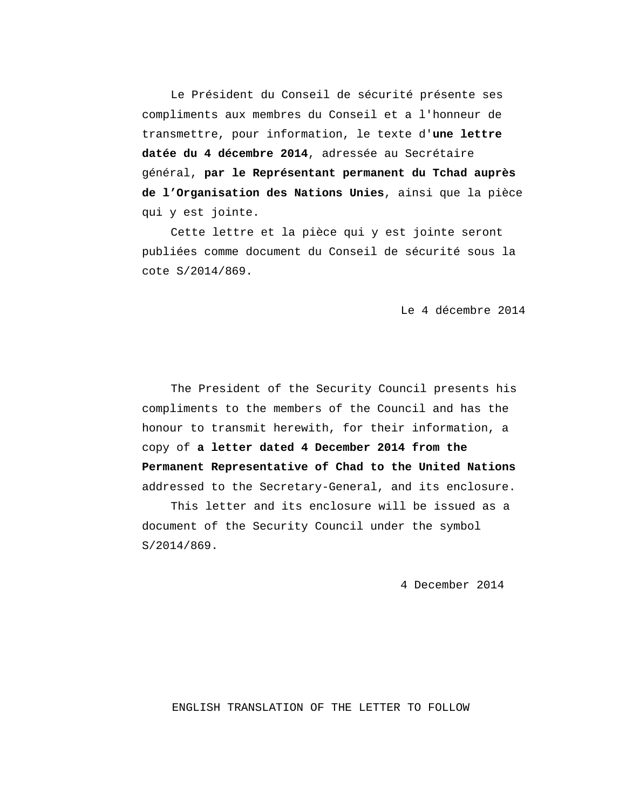Le Président du Conseil de sécurité présente ses compliments aux membres du Conseil et a l'honneur de transmettre, pour information, le texte d'**une lettre datée du 4 décembre 2014**, adressée au Secrétaire général, **par le Représentant permanent du Tchad auprès de l'Organisation des Nations Unies**, ainsi que la pièce qui y est jointe.

Cette lettre et la pièce qui y est jointe seront publiées comme document du Conseil de sécurité sous la cote S/2014/869.

Le 4 décembre 2014

The President of the Security Council presents his compliments to the members of the Council and has the honour to transmit herewith, for their information, a copy of **a letter dated 4 December 2014 from the Permanent Representative of Chad to the United Nations** addressed to the Secretary-General, and its enclosure.

This letter and its enclosure will be issued as a document of the Security Council under the symbol S/2014/869.

4 December 2014

#### ENGLISH TRANSLATION OF THE LETTER TO FOLLOW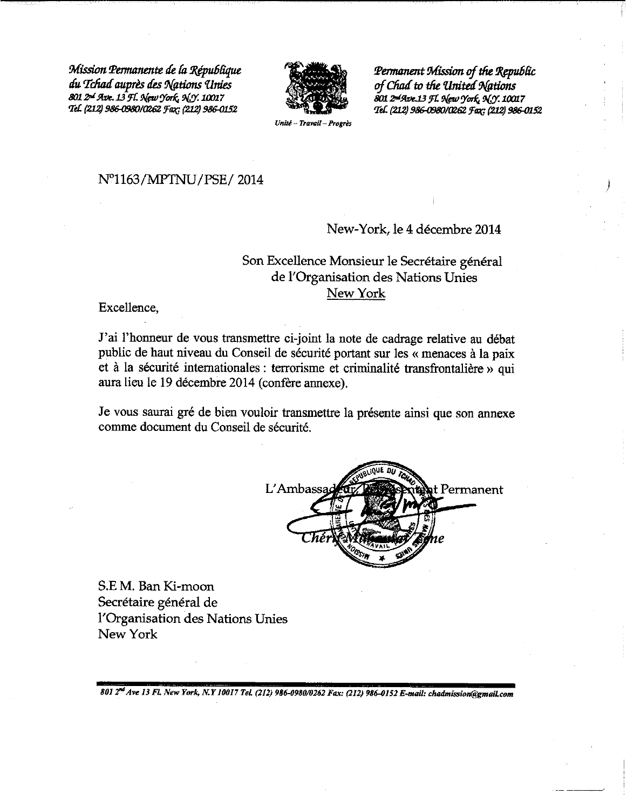Mission Permanente de la République du Tchad auprès des Nations Unies 801 2<sup>-1</sup> Ave. 13 Fl. New York, N.Y. 10017 Tel. (212) 986-0980/0262 Fax; (212) 986-0152



Permanent Mission of the Republic of Chad to the United Nations 801 2nd Ave. 13 FL New York, N.Y. 10017 Tel. (212) 986-0980/0262 Fax: (212) 986-0152

Unité - Travail - Progrè

#### N°1163/MPTNU/PSE/2014

# New-York, le 4 décembre 2014

# Son Excellence Monsieur le Secrétaire général de l'Organisation des Nations Unies New York

Excellence,

J'ai l'honneur de vous transmettre ci-joint la note de cadrage relative au débat public de haut niveau du Conseil de sécurité portant sur les « menaces à la paix et à la sécurité internationales : terrorisme et criminalité transfrontalière » qui aura lieu le 19 décembre 2014 (confère annexe).

Je vous saurai gré de bien vouloir transmettre la présente ainsi que son annexe comme document du Conseil de sécurité.



S.E.M. Ban Ki-moon Secrétaire général de l'Organisation des Nations Unies New York

801 2<sup>nd</sup> Ave 13 Fl. New York, N.Y 10017 Tel. (212) 986-0980/0262 Fax: (212) 986-0152 E-mail: chadmission@gmail.com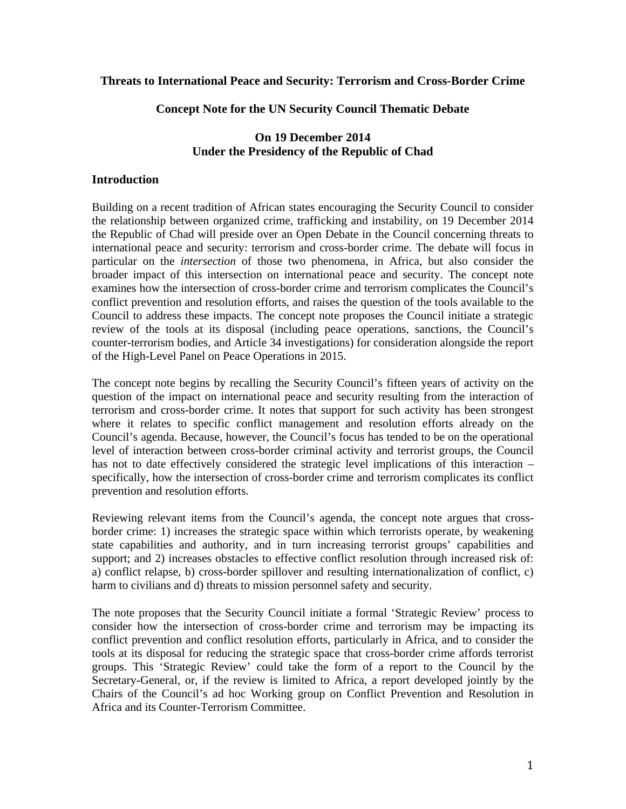#### **Threats to International Peace and Security: Terrorism and Cross-Border Crime**

#### **Concept Note for the UN Security Council Thematic Debate**

### **On 19 December 2014 Under the Presidency of the Republic of Chad**

#### **Introduction**

Building on a recent tradition of African states encouraging the Security Council to consider the relationship between organized crime, trafficking and instability, on 19 December 2014 the Republic of Chad will preside over an Open Debate in the Council concerning threats to international peace and security: terrorism and cross-border crime. The debate will focus in particular on the *intersection* of those two phenomena, in Africa, but also consider the broader impact of this intersection on international peace and security. The concept note examines how the intersection of cross-border crime and terrorism complicates the Council's conflict prevention and resolution efforts, and raises the question of the tools available to the Council to address these impacts. The concept note proposes the Council initiate a strategic review of the tools at its disposal (including peace operations, sanctions, the Council's counter-terrorism bodies, and Article 34 investigations) for consideration alongside the report of the High-Level Panel on Peace Operations in 2015.

The concept note begins by recalling the Security Council's fifteen years of activity on the question of the impact on international peace and security resulting from the interaction of terrorism and cross-border crime. It notes that support for such activity has been strongest where it relates to specific conflict management and resolution efforts already on the Council's agenda. Because, however, the Council's focus has tended to be on the operational level of interaction between cross-border criminal activity and terrorist groups, the Council has not to date effectively considered the strategic level implications of this interaction – specifically, how the intersection of cross-border crime and terrorism complicates its conflict prevention and resolution efforts.

Reviewing relevant items from the Council's agenda, the concept note argues that crossborder crime: 1) increases the strategic space within which terrorists operate, by weakening state capabilities and authority, and in turn increasing terrorist groups' capabilities and support; and 2) increases obstacles to effective conflict resolution through increased risk of: a) conflict relapse, b) cross-border spillover and resulting internationalization of conflict, c) harm to civilians and d) threats to mission personnel safety and security.

The note proposes that the Security Council initiate a formal 'Strategic Review' process to consider how the intersection of cross-border crime and terrorism may be impacting its conflict prevention and conflict resolution efforts, particularly in Africa, and to consider the tools at its disposal for reducing the strategic space that cross-border crime affords terrorist groups. This 'Strategic Review' could take the form of a report to the Council by the Secretary-General, or, if the review is limited to Africa, a report developed jointly by the Chairs of the Council's ad hoc Working group on Conflict Prevention and Resolution in Africa and its Counter-Terrorism Committee.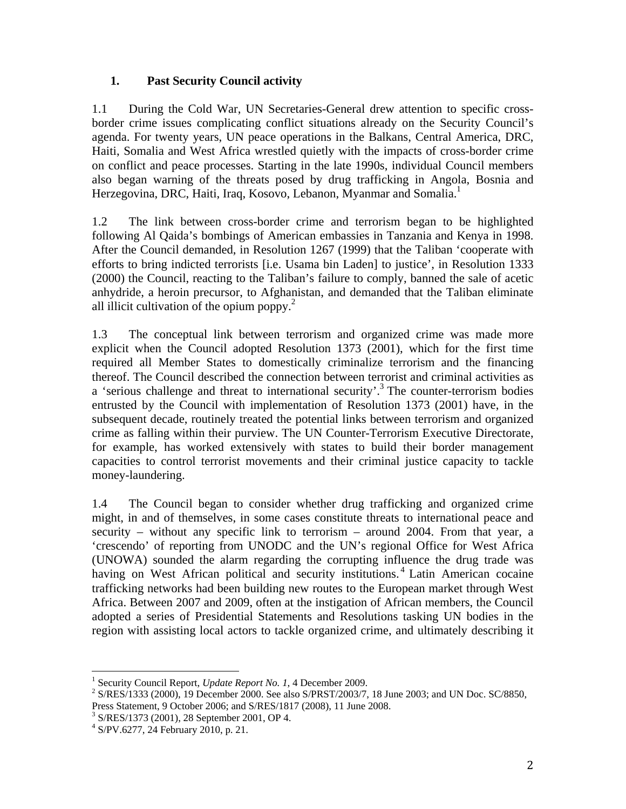## **1. Past Security Council activity**

1.1 During the Cold War, UN Secretaries-General drew attention to specific crossborder crime issues complicating conflict situations already on the Security Council's agenda. For twenty years, UN peace operations in the Balkans, Central America, DRC, Haiti, Somalia and West Africa wrestled quietly with the impacts of cross-border crime on conflict and peace processes. Starting in the late 1990s, individual Council members also began warning of the threats posed by drug trafficking in Angola, Bosnia and Herzegovina, DRC, Haiti, Iraq, Kosovo, Lebanon, Myanmar and Somalia.<sup>1</sup>

1.2 The link between cross-border crime and terrorism began to be highlighted following Al Qaida's bombings of American embassies in Tanzania and Kenya in 1998. After the Council demanded, in Resolution 1267 (1999) that the Taliban 'cooperate with efforts to bring indicted terrorists [i.e. Usama bin Laden] to justice', in Resolution 1333 (2000) the Council, reacting to the Taliban's failure to comply, banned the sale of acetic anhydride, a heroin precursor, to Afghanistan, and demanded that the Taliban eliminate all illicit cultivation of the opium poppy. $2$ 

1.3 The conceptual link between terrorism and organized crime was made more explicit when the Council adopted Resolution 1373 (2001), which for the first time required all Member States to domestically criminalize terrorism and the financing thereof. The Council described the connection between terrorist and criminal activities as a 'serious challenge and threat to international security'.<sup>3</sup> The counter-terrorism bodies entrusted by the Council with implementation of Resolution 1373 (2001) have, in the subsequent decade, routinely treated the potential links between terrorism and organized crime as falling within their purview. The UN Counter-Terrorism Executive Directorate, for example, has worked extensively with states to build their border management capacities to control terrorist movements and their criminal justice capacity to tackle money-laundering.

1.4 The Council began to consider whether drug trafficking and organized crime might, in and of themselves, in some cases constitute threats to international peace and security – without any specific link to terrorism – around 2004. From that year, a 'crescendo' of reporting from UNODC and the UN's regional Office for West Africa (UNOWA) sounded the alarm regarding the corrupting influence the drug trade was having on West African political and security institutions.<sup>4</sup> Latin American cocaine trafficking networks had been building new routes to the European market through West Africa. Between 2007 and 2009, often at the instigation of African members, the Council adopted a series of Presidential Statements and Resolutions tasking UN bodies in the region with assisting local actors to tackle organized crime, and ultimately describing it

 <sup>1</sup> Security Council Report, *Update Report No. 1*, 4 December 2009.<br><sup>2</sup> S/DES/1233 (2000), 10 December 2000, See also S/DBST/2003/7

<sup>&</sup>lt;sup>2</sup> S/RES/1333 (2000), 19 December 2000. See also S/PRST/2003/7, 18 June 2003; and UN Doc. SC/8850, Press Statement, 9 October 2006; and S/RES/1817 (2008), 11 June 2008.

<sup>3</sup> S/RES/1373 (2001), 28 September 2001, OP 4.

<sup>4</sup> S/PV.6277, 24 February 2010, p. 21.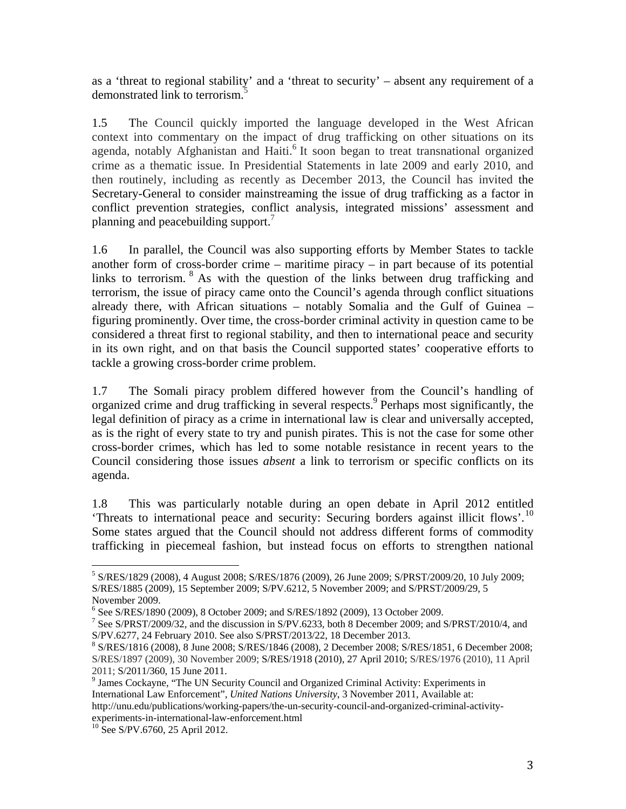as a 'threat to regional stability' and a 'threat to security' – absent any requirement of a demonstrated link to terrorism.<sup>5</sup>

1.5 The Council quickly imported the language developed in the West African context into commentary on the impact of drug trafficking on other situations on its agenda, notably Afghanistan and Haiti.<sup>6</sup> It soon began to treat transnational organized crime as a thematic issue. In Presidential Statements in late 2009 and early 2010, and then routinely, including as recently as December 2013, the Council has invited the Secretary-General to consider mainstreaming the issue of drug trafficking as a factor in conflict prevention strategies, conflict analysis, integrated missions' assessment and planning and peacebuilding support.<sup>7</sup>

1.6 In parallel, the Council was also supporting efforts by Member States to tackle another form of cross-border crime – maritime piracy – in part because of its potential links to terrorism.  $8$  As with the question of the links between drug trafficking and terrorism, the issue of piracy came onto the Council's agenda through conflict situations already there, with African situations – notably Somalia and the Gulf of Guinea – figuring prominently. Over time, the cross-border criminal activity in question came to be considered a threat first to regional stability, and then to international peace and security in its own right, and on that basis the Council supported states' cooperative efforts to tackle a growing cross-border crime problem.

1.7 The Somali piracy problem differed however from the Council's handling of organized crime and drug trafficking in several respects.<sup>9</sup> Perhaps most significantly, the legal definition of piracy as a crime in international law is clear and universally accepted, as is the right of every state to try and punish pirates. This is not the case for some other cross-border crimes, which has led to some notable resistance in recent years to the Council considering those issues *absent* a link to terrorism or specific conflicts on its agenda.

1.8 This was particularly notable during an open debate in April 2012 entitled 'Threats to international peace and security: Securing borders against illicit flows'.<sup>10</sup> Some states argued that the Council should not address different forms of commodity trafficking in piecemeal fashion, but instead focus on efforts to strengthen national

<sup>5</sup> S/RES/1829 (2008), 4 August 2008; S/RES/1876 (2009), 26 June 2009; S/PRST/2009/20, 10 July 2009; S/RES/1885 (2009), 15 September 2009; S/PV.6212, 5 November 2009; and S/PRST/2009/29, 5 November 2009.

<sup>6</sup> See S/RES/1890 (2009), 8 October 2009; and S/RES/1892 (2009), 13 October 2009.

<sup>&</sup>lt;sup>7</sup> See S/PRST/2009/32, and the discussion in S/PV.6233, both 8 December 2009; and S/PRST/2010/4, and S/PV.6277, 24 February 2010. See also S/PRST/2013/22, 18 December 2013.

S/RES/1816 (2008), 8 June 2008; S/RES/1846 (2008), 2 December 2008; S/RES/1851, 6 December 2008; S/RES/1897 (2009), 30 November 2009; S/RES/1918 (2010), 27 April 2010; S/RES/1976 (2010), 11 April 2011; S/2011/360, 15 June 2011.

<sup>&</sup>lt;sup>9</sup> James Cockayne, "The UN Security Council and Organized Criminal Activity: Experiments in International Law Enforcement", *United Nations University*, 3 November 2011, Available at: http://unu.edu/publications/working-papers/the-un-security-council-and-organized-criminal-activityexperiments-in-international-law-enforcement.html

<sup>&</sup>lt;sup>10</sup> See S/PV.6760, 25 April 2012.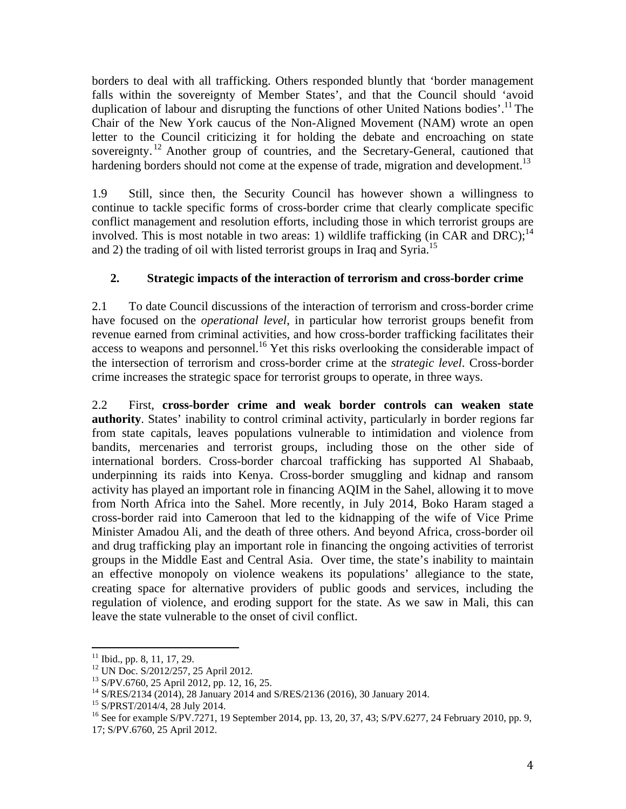borders to deal with all trafficking. Others responded bluntly that 'border management falls within the sovereignty of Member States', and that the Council should 'avoid duplication of labour and disrupting the functions of other United Nations bodies'.<sup>11</sup> The Chair of the New York caucus of the Non-Aligned Movement (NAM) wrote an open letter to the Council criticizing it for holding the debate and encroaching on state sovereignty.<sup>12</sup> Another group of countries, and the Secretary-General, cautioned that hardening borders should not come at the expense of trade, migration and development.<sup>13</sup>

1.9 Still, since then, the Security Council has however shown a willingness to continue to tackle specific forms of cross-border crime that clearly complicate specific conflict management and resolution efforts, including those in which terrorist groups are involved. This is most notable in two areas: 1) wildlife trafficking (in CAR and DRC);<sup>14</sup> and 2) the trading of oil with listed terrorist groups in Iraq and Syria.<sup>15</sup>

# **2. Strategic impacts of the interaction of terrorism and cross-border crime**

2.1 To date Council discussions of the interaction of terrorism and cross-border crime have focused on the *operational level*, in particular how terrorist groups benefit from revenue earned from criminal activities, and how cross-border trafficking facilitates their access to weapons and personnel.<sup>16</sup> Yet this risks overlooking the considerable impact of the intersection of terrorism and cross-border crime at the *strategic level*. Cross-border crime increases the strategic space for terrorist groups to operate, in three ways.

2.2 First, **cross-border crime and weak border controls can weaken state authority**. States' inability to control criminal activity, particularly in border regions far from state capitals, leaves populations vulnerable to intimidation and violence from bandits, mercenaries and terrorist groups, including those on the other side of international borders. Cross-border charcoal trafficking has supported Al Shabaab, underpinning its raids into Kenya. Cross-border smuggling and kidnap and ransom activity has played an important role in financing AQIM in the Sahel, allowing it to move from North Africa into the Sahel. More recently, in July 2014, Boko Haram staged a cross-border raid into Cameroon that led to the kidnapping of the wife of Vice Prime Minister Amadou Ali, and the death of three others. And beyond Africa, cross-border oil and drug trafficking play an important role in financing the ongoing activities of terrorist groups in the Middle East and Central Asia. Over time, the state's inability to maintain an effective monopoly on violence weakens its populations' allegiance to the state, creating space for alternative providers of public goods and services, including the regulation of violence, and eroding support for the state. As we saw in Mali, this can leave the state vulnerable to the onset of civil conflict.

 $11$  Ibid., pp. 8, 11, 17, 29.

<sup>&</sup>lt;sup>12</sup> UN Doc. S/2012/257, 25 April 2012.

<sup>13</sup> S/PV.6760, 25 April 2012, pp. 12, 16, 25.

<sup>14</sup> S/RES/2134 (2014), 28 January 2014 and S/RES/2136 (2016), 30 January 2014.

<sup>15</sup> S/PRST/2014/4, 28 July 2014.

<sup>&</sup>lt;sup>16</sup> See for example S/PV.7271, 19 September 2014, pp. 13, 20, 37, 43; S/PV.6277, 24 February 2010, pp. 9,

<sup>17;</sup> S/PV.6760, 25 April 2012.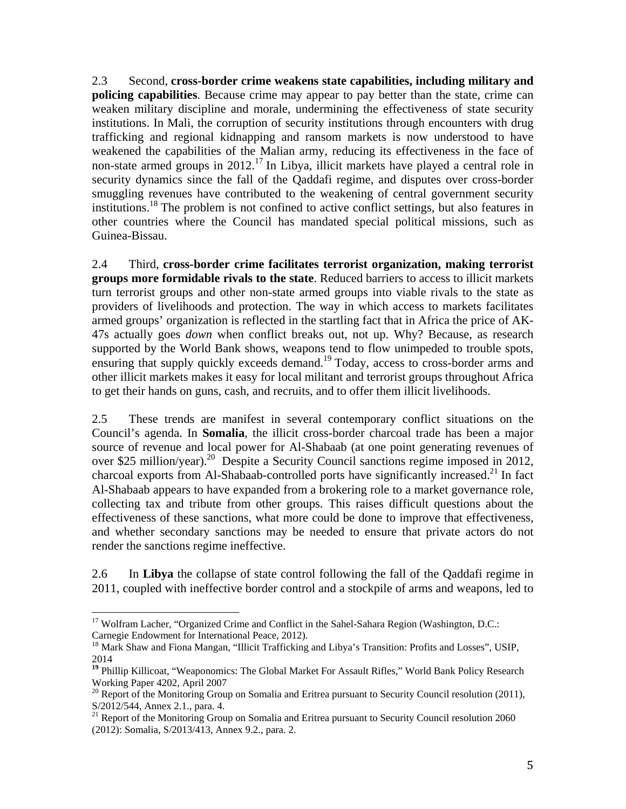2.3 Second, **cross-border crime weakens state capabilities, including military and policing capabilities**. Because crime may appear to pay better than the state, crime can weaken military discipline and morale, undermining the effectiveness of state security institutions. In Mali, the corruption of security institutions through encounters with drug trafficking and regional kidnapping and ransom markets is now understood to have weakened the capabilities of the Malian army, reducing its effectiveness in the face of non-state armed groups in  $2012<sup>17</sup>$  In Libya, illicit markets have played a central role in security dynamics since the fall of the Qaddafi regime, and disputes over cross-border smuggling revenues have contributed to the weakening of central government security institutions.<sup>18</sup> The problem is not confined to active conflict settings, but also features in other countries where the Council has mandated special political missions, such as Guinea-Bissau.

2.4 Third, **cross-border crime facilitates terrorist organization, making terrorist groups more formidable rivals to the state**. Reduced barriers to access to illicit markets turn terrorist groups and other non-state armed groups into viable rivals to the state as providers of livelihoods and protection. The way in which access to markets facilitates armed groups' organization is reflected in the startling fact that in Africa the price of AK-47s actually goes *down* when conflict breaks out, not up. Why? Because, as research supported by the World Bank shows, weapons tend to flow unimpeded to trouble spots, ensuring that supply quickly exceeds demand.<sup>19</sup> Today, access to cross-border arms and other illicit markets makes it easy for local militant and terrorist groups throughout Africa to get their hands on guns, cash, and recruits, and to offer them illicit livelihoods.

2.5 These trends are manifest in several contemporary conflict situations on the Council's agenda. In **Somalia**, the illicit cross-border charcoal trade has been a major source of revenue and local power for Al-Shabaab (at one point generating revenues of over \$25 million/year).<sup>20</sup> Despite a Security Council sanctions regime imposed in 2012, charcoal exports from Al-Shabaab-controlled ports have significantly increased.<sup>21</sup> In fact Al-Shabaab appears to have expanded from a brokering role to a market governance role, collecting tax and tribute from other groups. This raises difficult questions about the effectiveness of these sanctions, what more could be done to improve that effectiveness, and whether secondary sanctions may be needed to ensure that private actors do not render the sanctions regime ineffective.

2.6 In **Libya** the collapse of state control following the fall of the Qaddafi regime in 2011, coupled with ineffective border control and a stockpile of arms and weapons, led to

<sup>&</sup>lt;sup>17</sup> Wolfram Lacher, "Organized Crime and Conflict in the Sahel-Sahara Region (Washington, D.C.: Carnegie Endowment for International Peace, 2012).

<sup>&</sup>lt;sup>18</sup> Mark Shaw and Fiona Mangan, "Illicit Trafficking and Libya's Transition: Profits and Losses", USIP, 2014

<sup>&</sup>lt;sup>19</sup> Phillip Killicoat, "Weaponomics: The Global Market For Assault Rifles," World Bank Policy Research Working Paper 4202, April 2007

<sup>&</sup>lt;sup>20</sup> Report of the Monitoring Group on Somalia and Eritrea pursuant to Security Council resolution (2011), S/2012/544, Annex 2.1., para. 4.

<sup>&</sup>lt;sup>21</sup> Report of the Monitoring Group on Somalia and Eritrea pursuant to Security Council resolution 2060 (2012): Somalia, S/2013/413, Annex 9.2., para. 2.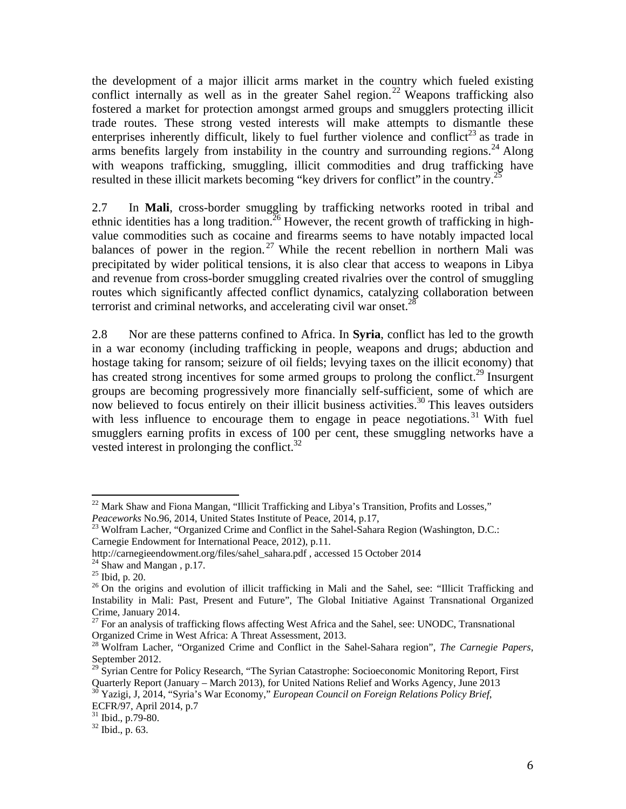the development of a major illicit arms market in the country which fueled existing conflict internally as well as in the greater Sahel region.<sup>22</sup> Weapons trafficking also fostered a market for protection amongst armed groups and smugglers protecting illicit trade routes. These strong vested interests will make attempts to dismantle these enterprises inherently difficult, likely to fuel further violence and conflict<sup>23</sup> as trade in arms benefits largely from instability in the country and surrounding regions.<sup>24</sup> Along with weapons trafficking, smuggling, illicit commodities and drug trafficking have resulted in these illicit markets becoming "key drivers for conflict" in the country.<sup>25</sup>

2.7 In **Mali**, cross-border smuggling by trafficking networks rooted in tribal and ethnic identities has a long tradition.<sup>26</sup> However, the recent growth of trafficking in highvalue commodities such as cocaine and firearms seems to have notably impacted local balances of power in the region.<sup>27</sup> While the recent rebellion in northern Mali was precipitated by wider political tensions, it is also clear that access to weapons in Libya and revenue from cross-border smuggling created rivalries over the control of smuggling routes which significantly affected conflict dynamics, catalyzing collaboration between terrorist and criminal networks, and accelerating civil war onset.<sup>28</sup>

2.8 Nor are these patterns confined to Africa. In **Syria**, conflict has led to the growth in a war economy (including trafficking in people, weapons and drugs; abduction and hostage taking for ransom; seizure of oil fields; levying taxes on the illicit economy) that has created strong incentives for some armed groups to prolong the conflict.<sup>29</sup> Insurgent groups are becoming progressively more financially self-sufficient, some of which are now believed to focus entirely on their illicit business activities.<sup>30</sup> This leaves outsiders with less influence to encourage them to engage in peace negotiations.<sup>31</sup> With fuel smugglers earning profits in excess of 100 per cent, these smuggling networks have a vested interest in prolonging the conflict. $32$ 

<sup>&</sup>lt;sup>22</sup> Mark Shaw and Fiona Mangan, "Illicit Trafficking and Libya's Transition, Profits and Losses,"<br>*Peaceworks* No.96, 2014, United States Institute of Peace, 2014, p.17,

<sup>&</sup>lt;sup>23</sup> Wolfram Lacher, "Organized Crime and Conflict in the Sahel-Sahara Region (Washington, D.C.: Carnegie Endowment for International Peace, 2012), p.11.

http://carnegieendowment.org/files/sahel\_sahara.pdf , accessed 15 October 2014 24 Shaw and Mangan , p.17.

<sup>25</sup> Ibid, p. 20.

 $26$  On the origins and evolution of illicit trafficking in Mali and the Sahel, see: "Illicit Trafficking and Instability in Mali: Past, Present and Future", The Global Initiative Against Transnational Organized Crime, January 2014.

<sup>&</sup>lt;sup>27</sup> For an analysis of trafficking flows affecting West Africa and the Sahel, see: UNODC, Transnational Organized Crime in West Africa: A Threat Assessment, 2013.

<sup>&</sup>lt;sup>28</sup> Wolfram Lacher, "Organized Crime and Conflict in the Sahel-Sahara region", *The Carnegie Papers*, September 2012.

 $^{29}$  Syrian Centre for Policy Research, "The Syrian Catastrophe: Socioeconomic Monitoring Report, First Quarterly Report (January – March 2013), for United Nations Relief and Works Agency, June 2013

<sup>30</sup> Yazigi, J, 2014, "Syria's War Economy," *European Council on Foreign Relations Policy Brief*, ECFR/97, April 2014, p.7

<sup>31</sup> Ibid., p.79-80.

<sup>32</sup> Ibid., p. 63.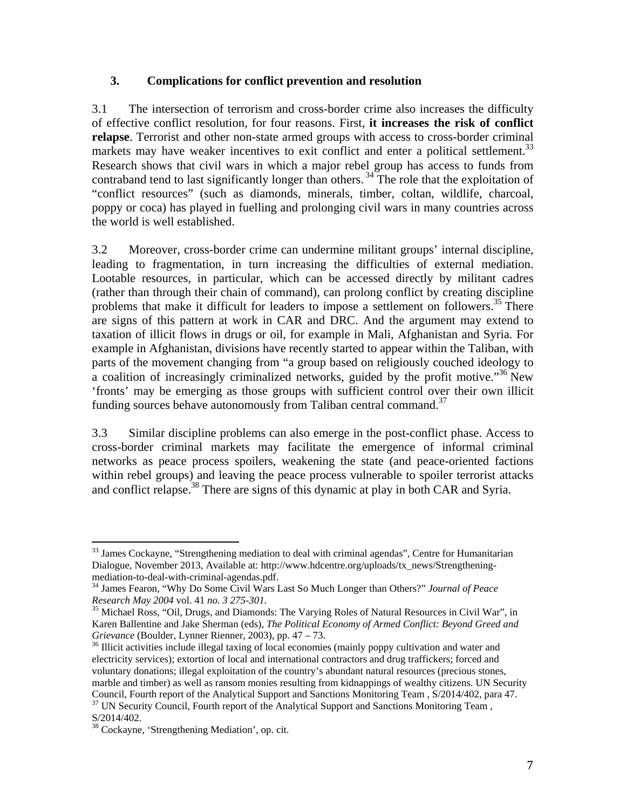### **3. Complications for conflict prevention and resolution**

3.1 The intersection of terrorism and cross-border crime also increases the difficulty of effective conflict resolution, for four reasons. First, **it increases the risk of conflict relapse**. Terrorist and other non-state armed groups with access to cross-border criminal markets may have weaker incentives to exit conflict and enter a political settlement.<sup>33</sup> Research shows that civil wars in which a major rebel group has access to funds from contraband tend to last significantly longer than others.<sup>34</sup> The role that the exploitation of "conflict resources" (such as diamonds, minerals, timber, coltan, wildlife, charcoal, poppy or coca) has played in fuelling and prolonging civil wars in many countries across the world is well established.

3.2 Moreover, cross-border crime can undermine militant groups' internal discipline, leading to fragmentation, in turn increasing the difficulties of external mediation. Lootable resources, in particular, which can be accessed directly by militant cadres (rather than through their chain of command), can prolong conflict by creating discipline problems that make it difficult for leaders to impose a settlement on followers.<sup>35</sup> There are signs of this pattern at work in CAR and DRC. And the argument may extend to taxation of illicit flows in drugs or oil, for example in Mali, Afghanistan and Syria. For example in Afghanistan, divisions have recently started to appear within the Taliban, with parts of the movement changing from "a group based on religiously couched ideology to a coalition of increasingly criminalized networks, guided by the profit motive."36 New 'fronts' may be emerging as those groups with sufficient control over their own illicit funding sources behave autonomously from Taliban central command.<sup>37</sup>

3.3 Similar discipline problems can also emerge in the post-conflict phase. Access to cross-border criminal markets may facilitate the emergence of informal criminal networks as peace process spoilers, weakening the state (and peace-oriented factions within rebel groups) and leaving the peace process vulnerable to spoiler terrorist attacks and conflict relapse.<sup>38</sup> There are signs of this dynamic at play in both CAR and Syria.

 <sup>33</sup> James Cockayne, "Strengthening mediation to deal with criminal agendas", Centre for Humanitarian Dialogue, November 2013, Available at: http://www.hdcentre.org/uploads/tx\_news/Strengtheningmediation-to-deal-with-criminal-agendas.pdf.

<sup>34</sup> James Fearon, "Why Do Some Civil Wars Last So Much Longer than Others?" *Journal of Peace Research May 2004* vol. 41 *no. 3 275-301.* 35 Michael Ross, "Oil, Drugs, and Diamonds: The Varying Roles of Natural Resources in Civil War", in

Karen Ballentine and Jake Sherman (eds), *The Political Economy of Armed Conflict: Beyond Greed and Grievance* (Boulder, Lynner Rienner, 2003), pp. 47 – 73.<br><sup>36</sup> Illicit activities include illegal taxing of local economies (mainly poppy cultivation and water and

electricity services); extortion of local and international contractors and drug traffickers; forced and voluntary donations; illegal exploitation of the country's abundant natural resources (precious stones, marble and timber) as well as ransom monies resulting from kidnappings of wealthy citizens. UN Security Council, Fourth report of the Analytical Support and Sanctions Monitoring Team , S/2014/402, para 47.

<sup>&</sup>lt;sup>37</sup> UN Security Council, Fourth report of the Analytical Support and Sanctions Monitoring Team, S/2014/402.

<sup>38</sup> Cockayne, 'Strengthening Mediation', op. cit.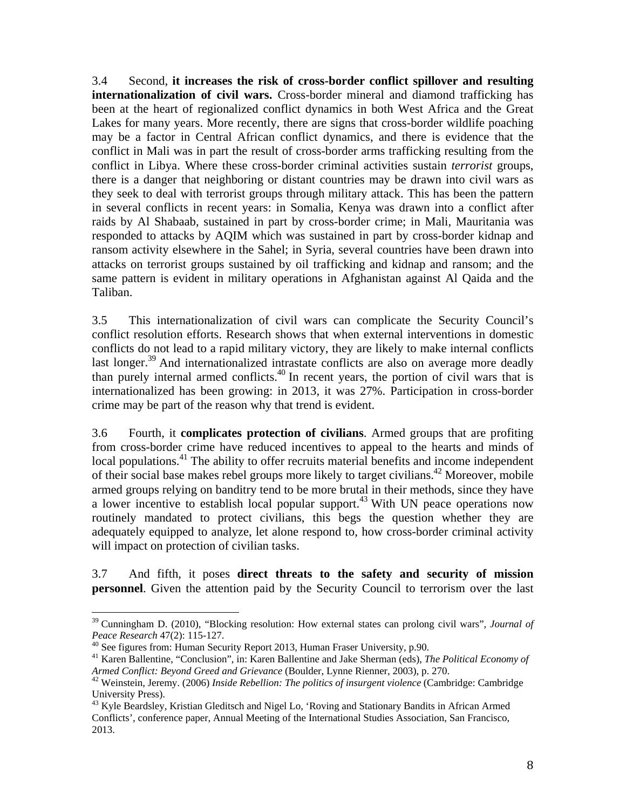3.4 Second, **it increases the risk of cross-border conflict spillover and resulting internationalization of civil wars.** Cross-border mineral and diamond trafficking has been at the heart of regionalized conflict dynamics in both West Africa and the Great Lakes for many years. More recently, there are signs that cross-border wildlife poaching may be a factor in Central African conflict dynamics, and there is evidence that the conflict in Mali was in part the result of cross-border arms trafficking resulting from the conflict in Libya. Where these cross-border criminal activities sustain *terrorist* groups, there is a danger that neighboring or distant countries may be drawn into civil wars as they seek to deal with terrorist groups through military attack. This has been the pattern in several conflicts in recent years: in Somalia, Kenya was drawn into a conflict after raids by Al Shabaab, sustained in part by cross-border crime; in Mali, Mauritania was responded to attacks by AQIM which was sustained in part by cross-border kidnap and ransom activity elsewhere in the Sahel; in Syria, several countries have been drawn into attacks on terrorist groups sustained by oil trafficking and kidnap and ransom; and the same pattern is evident in military operations in Afghanistan against Al Qaida and the Taliban.

3.5 This internationalization of civil wars can complicate the Security Council's conflict resolution efforts. Research shows that when external interventions in domestic conflicts do not lead to a rapid military victory, they are likely to make internal conflicts last longer.<sup>39</sup> And internationalized intrastate conflicts are also on average more deadly than purely internal armed conflicts.<sup>40</sup> In recent years, the portion of civil wars that is internationalized has been growing: in 2013, it was 27%. Participation in cross-border crime may be part of the reason why that trend is evident.

3.6 Fourth, it **complicates protection of civilians**. Armed groups that are profiting from cross-border crime have reduced incentives to appeal to the hearts and minds of local populations.<sup>41</sup> The ability to offer recruits material benefits and income independent of their social base makes rebel groups more likely to target civilians.42 Moreover, mobile armed groups relying on banditry tend to be more brutal in their methods, since they have a lower incentive to establish local popular support.43 With UN peace operations now routinely mandated to protect civilians, this begs the question whether they are adequately equipped to analyze, let alone respond to, how cross-border criminal activity will impact on protection of civilian tasks.

3.7 And fifth, it poses **direct threats to the safety and security of mission personnel**. Given the attention paid by the Security Council to terrorism over the last

<sup>39</sup> Cunningham D. (2010), "Blocking resolution: How external states can prolong civil wars", *Journal of* 

<sup>&</sup>lt;sup>40</sup> See figures from: Human Security Report 2013, Human Fraser University, p.90.

<sup>41</sup> Karen Ballentine, "Conclusion", in: Karen Ballentine and Jake Sherman (eds), *The Political Economy of* 

*Armed Conflict: Beyond Greed and Grievance* (Boulder, Lynne Rienner, 2003), p. 270. 42 Weinstein, Jeremy. (2006) *Inside Rebellion: The politics of insurgent violence* (Cambridge: Cambridge University Press).

<sup>&</sup>lt;sup>43</sup> Kyle Beardsley, Kristian Gleditsch and Nigel Lo, 'Roving and Stationary Bandits in African Armed Conflicts', conference paper, Annual Meeting of the International Studies Association, San Francisco, 2013.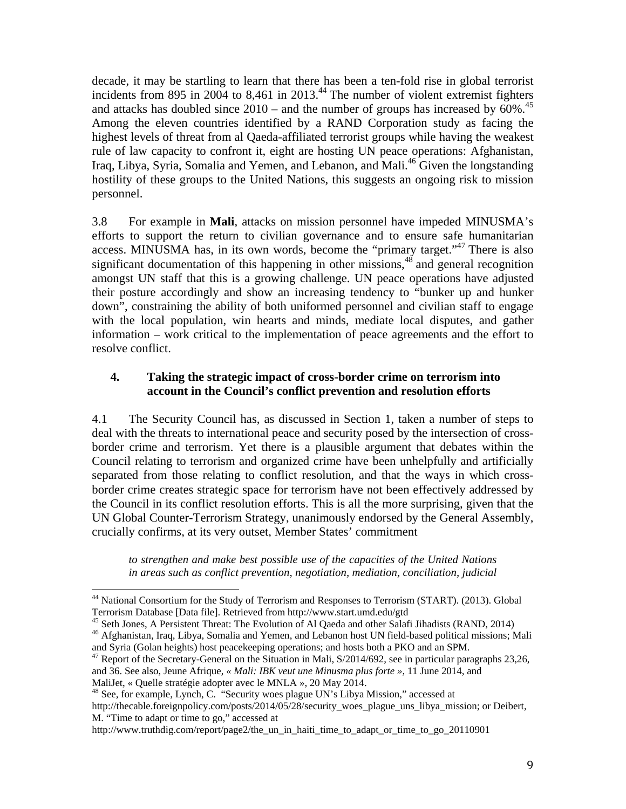decade, it may be startling to learn that there has been a ten-fold rise in global terrorist incidents from 895 in 2004 to 8,461 in 2013.<sup>44</sup> The number of violent extremist fighters and attacks has doubled since  $2010$  – and the number of groups has increased by  $60\%$ .<sup>45</sup> Among the eleven countries identified by a RAND Corporation study as facing the highest levels of threat from al Qaeda-affiliated terrorist groups while having the weakest rule of law capacity to confront it, eight are hosting UN peace operations: Afghanistan, Iraq, Libya, Syria, Somalia and Yemen, and Lebanon, and Mali.<sup>46</sup> Given the longstanding hostility of these groups to the United Nations, this suggests an ongoing risk to mission personnel.

3.8 For example in **Mali**, attacks on mission personnel have impeded MINUSMA's efforts to support the return to civilian governance and to ensure safe humanitarian access. MINUSMA has, in its own words, become the "primary target."47 There is also significant documentation of this happening in other missions,  $48$  and general recognition amongst UN staff that this is a growing challenge. UN peace operations have adjusted their posture accordingly and show an increasing tendency to "bunker up and hunker down", constraining the ability of both uniformed personnel and civilian staff to engage with the local population, win hearts and minds, mediate local disputes, and gather information – work critical to the implementation of peace agreements and the effort to resolve conflict.

## **4. Taking the strategic impact of cross-border crime on terrorism into account in the Council's conflict prevention and resolution efforts**

4.1 The Security Council has, as discussed in Section 1, taken a number of steps to deal with the threats to international peace and security posed by the intersection of crossborder crime and terrorism. Yet there is a plausible argument that debates within the Council relating to terrorism and organized crime have been unhelpfully and artificially separated from those relating to conflict resolution, and that the ways in which crossborder crime creates strategic space for terrorism have not been effectively addressed by the Council in its conflict resolution efforts. This is all the more surprising, given that the UN Global Counter-Terrorism Strategy, unanimously endorsed by the General Assembly, crucially confirms, at its very outset, Member States' commitment

*to strengthen and make best possible use of the capacities of the United Nations in areas such as conflict prevention, negotiation, mediation, conciliation, judicial* 

<sup>&</sup>lt;sup>44</sup> National Consortium for the Study of Terrorism and Responses to Terrorism (START). (2013). Global Terrorism Database [Data file]. Retrieved from http://www.start.umd.edu/gtd

<sup>45</sup> Seth Jones, A Persistent Threat: The Evolution of Al Qaeda and other Salafi Jihadists (RAND, 2014)

<sup>46</sup> Afghanistan, Iraq, Libya, Somalia and Yemen, and Lebanon host UN field-based political missions; Mali and Syria (Golan heights) host peacekeeping operations; and hosts both a PKO and an SPM.<br><sup>47</sup> Report of the Secretary-General on the Situation in Mali, S/2014/692, see in particular paragraphs 23,26,

and 36. See also, Jeune Afrique, *« Mali: IBK veut une Minusma plus forte »*, 11 June 2014, and

MaliJet, « Quelle stratégie adopter avec le MNLA », 20 May 2014.

<sup>&</sup>lt;sup>48</sup> See, for example, Lynch, C. "Security woes plague UN's Libya Mission," accessed at http://thecable.foreignpolicy.com/posts/2014/05/28/security woes plague uns libya mission; or Deibert, M. "Time to adapt or time to go," accessed at

http://www.truthdig.com/report/page2/the\_un\_in\_haiti\_time\_to\_adapt\_or\_time\_to\_go\_20110901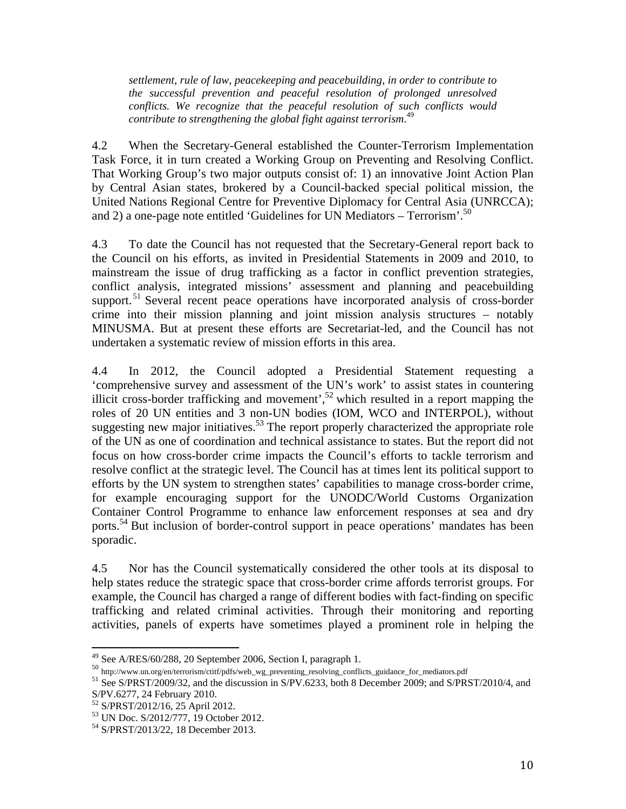*settlement, rule of law, peacekeeping and peacebuilding, in order to contribute to the successful prevention and peaceful resolution of prolonged unresolved conflicts. We recognize that the peaceful resolution of such conflicts would contribute to strengthening the global fight against terrorism*. 49

4.2 When the Secretary-General established the Counter-Terrorism Implementation Task Force, it in turn created a Working Group on Preventing and Resolving Conflict. That Working Group's two major outputs consist of: 1) an innovative Joint Action Plan by Central Asian states, brokered by a Council-backed special political mission, the United Nations Regional Centre for Preventive Diplomacy for Central Asia (UNRCCA); and 2) a one-page note entitled 'Guidelines for UN Mediators – Terrorism'.<sup>50</sup>

4.3 To date the Council has not requested that the Secretary-General report back to the Council on his efforts, as invited in Presidential Statements in 2009 and 2010, to mainstream the issue of drug trafficking as a factor in conflict prevention strategies, conflict analysis, integrated missions' assessment and planning and peacebuilding support.<sup>51</sup> Several recent peace operations have incorporated analysis of cross-border crime into their mission planning and joint mission analysis structures – notably MINUSMA. But at present these efforts are Secretariat-led, and the Council has not undertaken a systematic review of mission efforts in this area.

4.4 In 2012, the Council adopted a Presidential Statement requesting a 'comprehensive survey and assessment of the UN's work' to assist states in countering illicit cross-border trafficking and movement',<sup>52</sup> which resulted in a report mapping the roles of 20 UN entities and 3 non-UN bodies (IOM, WCO and INTERPOL), without suggesting new major initiatives.<sup>53</sup> The report properly characterized the appropriate role of the UN as one of coordination and technical assistance to states. But the report did not focus on how cross-border crime impacts the Council's efforts to tackle terrorism and resolve conflict at the strategic level. The Council has at times lent its political support to efforts by the UN system to strengthen states' capabilities to manage cross-border crime, for example encouraging support for the UNODC/World Customs Organization Container Control Programme to enhance law enforcement responses at sea and dry ports.<sup>54</sup> But inclusion of border-control support in peace operations' mandates has been sporadic.

4.5 Nor has the Council systematically considered the other tools at its disposal to help states reduce the strategic space that cross-border crime affords terrorist groups. For example, the Council has charged a range of different bodies with fact-finding on specific trafficking and related criminal activities. Through their monitoring and reporting activities, panels of experts have sometimes played a prominent role in helping the

 $^{49}$  See A/RES/60/288, 20 September 2006, Section I, paragraph 1.

<sup>50</sup> http://www.un.org/en/terrorism/ctitf/pdfs/web\_wg\_preventing\_resolving\_conflicts\_guidance\_for\_mediators.pdf

<sup>51</sup> See S/PRST/2009/32, and the discussion in S/PV.6233, both 8 December 2009; and S/PRST/2010/4, and S/PV.6277, 24 February 2010.

<sup>52</sup> S/PRST/2012/16, 25 April 2012.

<sup>53</sup> UN Doc. S/2012/777, 19 October 2012.

<sup>54</sup> S/PRST/2013/22, 18 December 2013.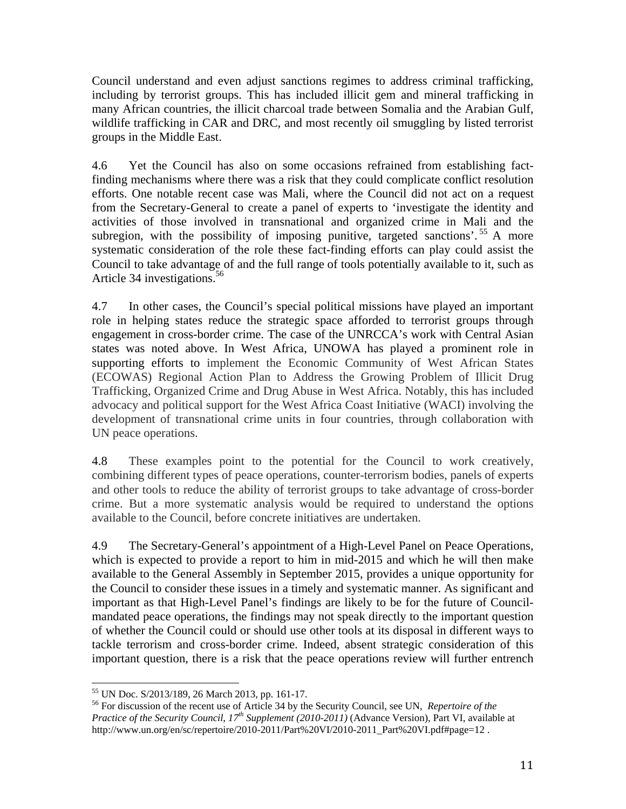Council understand and even adjust sanctions regimes to address criminal trafficking, including by terrorist groups. This has included illicit gem and mineral trafficking in many African countries, the illicit charcoal trade between Somalia and the Arabian Gulf, wildlife trafficking in CAR and DRC, and most recently oil smuggling by listed terrorist groups in the Middle East.

4.6 Yet the Council has also on some occasions refrained from establishing factfinding mechanisms where there was a risk that they could complicate conflict resolution efforts. One notable recent case was Mali, where the Council did not act on a request from the Secretary-General to create a panel of experts to 'investigate the identity and activities of those involved in transnational and organized crime in Mali and the subregion, with the possibility of imposing punitive, targeted sanctions'.<sup>55</sup> A more systematic consideration of the role these fact-finding efforts can play could assist the Council to take advantage of and the full range of tools potentially available to it, such as Article 34 investigations.<sup>56</sup>

4.7 In other cases, the Council's special political missions have played an important role in helping states reduce the strategic space afforded to terrorist groups through engagement in cross-border crime. The case of the UNRCCA's work with Central Asian states was noted above. In West Africa, UNOWA has played a prominent role in supporting efforts to implement the Economic Community of West African States (ECOWAS) Regional Action Plan to Address the Growing Problem of Illicit Drug Trafficking, Organized Crime and Drug Abuse in West Africa. Notably, this has included advocacy and political support for the West Africa Coast Initiative (WACI) involving the development of transnational crime units in four countries, through collaboration with UN peace operations.

4.8 These examples point to the potential for the Council to work creatively, combining different types of peace operations, counter-terrorism bodies, panels of experts and other tools to reduce the ability of terrorist groups to take advantage of cross-border crime. But a more systematic analysis would be required to understand the options available to the Council, before concrete initiatives are undertaken.

4.9 The Secretary-General's appointment of a High-Level Panel on Peace Operations, which is expected to provide a report to him in mid-2015 and which he will then make available to the General Assembly in September 2015, provides a unique opportunity for the Council to consider these issues in a timely and systematic manner. As significant and important as that High-Level Panel's findings are likely to be for the future of Councilmandated peace operations, the findings may not speak directly to the important question of whether the Council could or should use other tools at its disposal in different ways to tackle terrorism and cross-border crime. Indeed, absent strategic consideration of this important question, there is a risk that the peace operations review will further entrench

<sup>55</sup> UN Doc. S/2013/189, 26 March 2013, pp. 161-17.

<sup>56</sup> For discussion of the recent use of Article 34 by the Security Council, see UN, *Repertoire of the Practice of the Security Council*, *17th Supplement (2010-2011)* (Advance Version), Part VI, available at http://www.un.org/en/sc/repertoire/2010-2011/Part%20VI/2010-2011\_Part%20VI.pdf#page=12 .